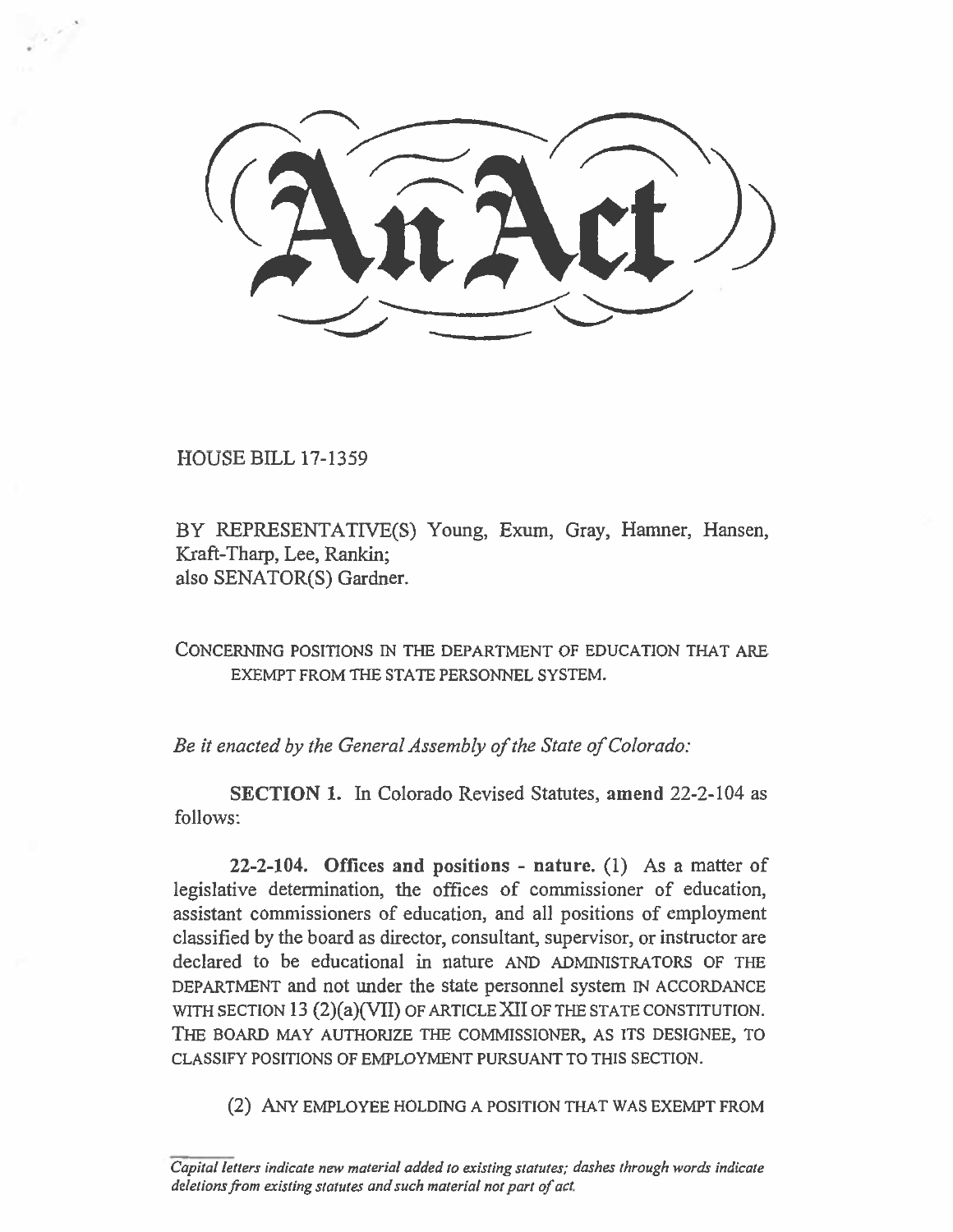HOUSE BILL 17-1359

BY REPRESENTATIVE(S) Young, Exum, Gray, Hamner, Hansen, Kraft-Tharp, Lee, Rankin; also SENATOR(S) Gardner.

CONCERNING POSITIONS IN THE DEPARTMENT OF EDUCATION THAT ARE EXEMPT FROM THE STATE PERSONNEL SYSTEM.

*Be it enacted by the General Assembly of the State of Colorado:* 

**SECTION 1.** In Colorado Revised Statutes, **amend** 22-2-104 as follows:

**22-2-104. Offices and positions - nature. (1)** As a matter of legislative determination, the offices of commissioner of education, assistant commissioners of education, and all positions of employment classified by the board as director, consultant, supervisor, or instructor are declared to be educational in nature AND ADMINISTRATORS OF THE DEPARTMENT and not under the state personnel system IN ACCORDANCE WITH SECTION 13 (2)(a)(VII) OF ARTICLE XII OF THE STATE CONSTITUTION. THE BOARD MAY AUTHORIZE THE COMMISSIONER, AS ITS DESIGNEE, TO CLASSIFY POSITIONS OF EMPLOYMENT PURSUANT TO THIS SECTION.

(2) ANY EMPLOYEE HOLDING A POSITION THAT WAS EXEMPT FROM

Capital letters indicate new material added to existing statutes; dashes through words indicate deletions from existing statutes and such material not part of act.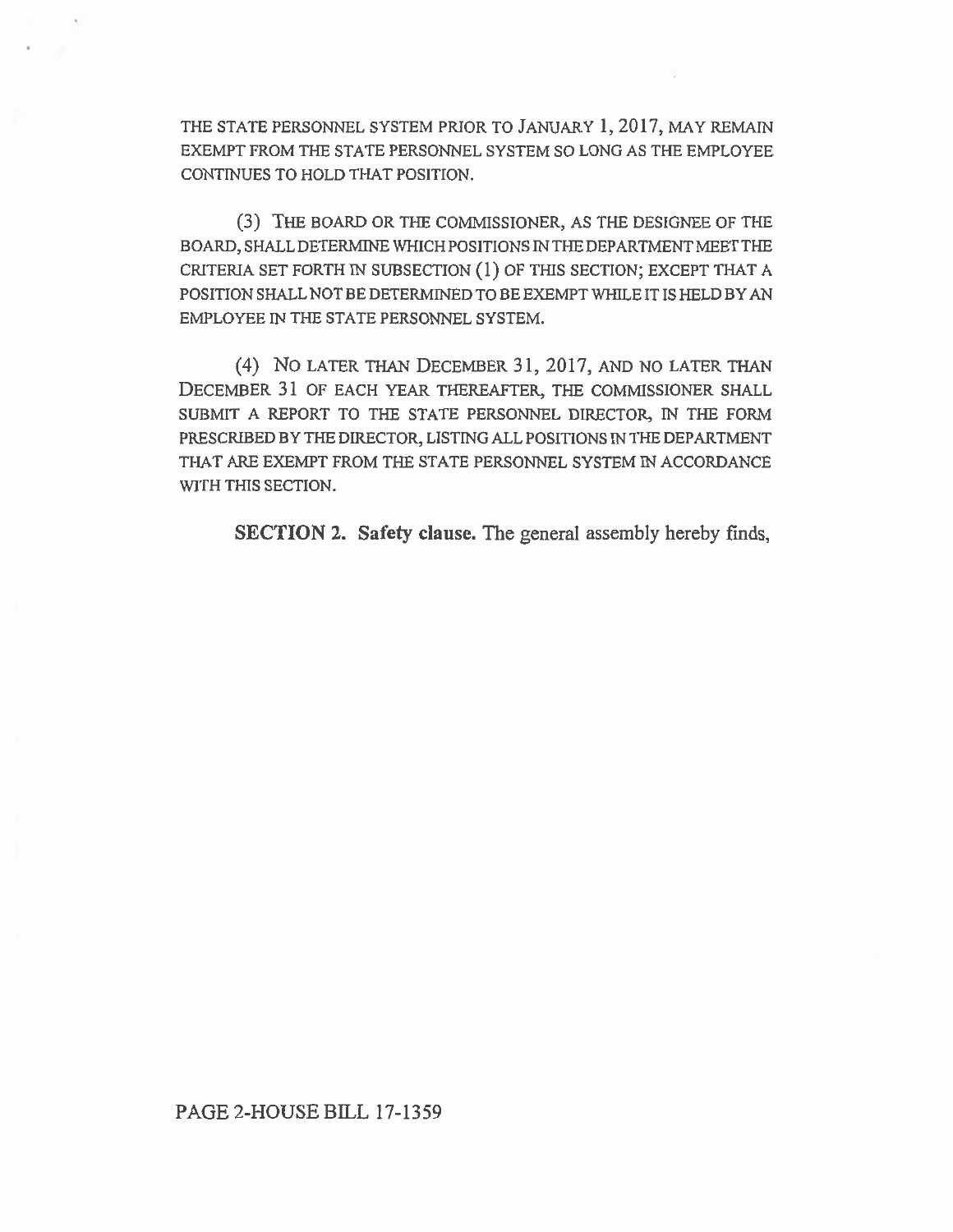THE STATE PERSONNEL SYSTEM PRIOR TO JANUARY 1, 2017, MAY REMAIN EXEMPT FROM THE STATE PERSONNEL SYSTEM SO LONG AS THE EMPLOYEE CONTINUES TO HOLD THAT POSITION.

(3) THE BOARD OR THE COMMISSIONER, AS THE DESIGNEE OF THE BOARD, SHALL DETERMINE WHICH POSITIONS IN THE DEPARTMENT MEET THE CRITERIA SET FORTH IN SUBSECTION (1) OF THIS SECTION; EXCEPT THAT A POSITION SHALL NOT BE DETERMINED TO BE EXEMPT WHILE IT IS HELD BY AN EMPLOYEE IN THE STATE PERSONNEL SYSTEM.

(4) No LATER THAN DECEMBER 31, 2017, AND NO LATER THAN DECEMBER 31 OF EACH YEAR THEREAFTER, THE COMMISSIONER SHALL SUBMIT A REPORT TO THE STATE PERSONNEL DIRECTOR, IN THE FORM PRESCRIBED BY THE DIRECTOR, LISTING ALL POSITIONS IN THE DEPARTMENT THAT ARE EXEMPT FROM THE STATE PERSONNEL SYSTEM IN ACCORDANCE WITH THIS SECTION.

SECTION 2. Safety clause. The general assembly hereby finds,